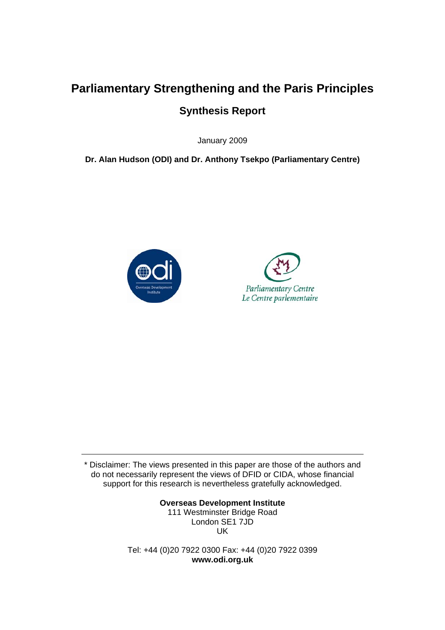# **Parliamentary Strengthening and the Paris Principles Synthesis Report**

January 2009

**Dr. Alan Hudson (ODI) and Dr. Anthony Tsekpo (Parliamentary Centre)** 





\* Disclaimer: The views presented in this paper are those of the authors and do not necessarily represent the views of DFID or CIDA, whose financial support for this research is nevertheless gratefully acknowledged.

> **Overseas Development Institute**  111 Westminster Bridge Road London SE1 7JD UK

Tel: +44 (0)20 7922 0300 Fax: +44 (0)20 7922 0399 **www.odi.org.uk**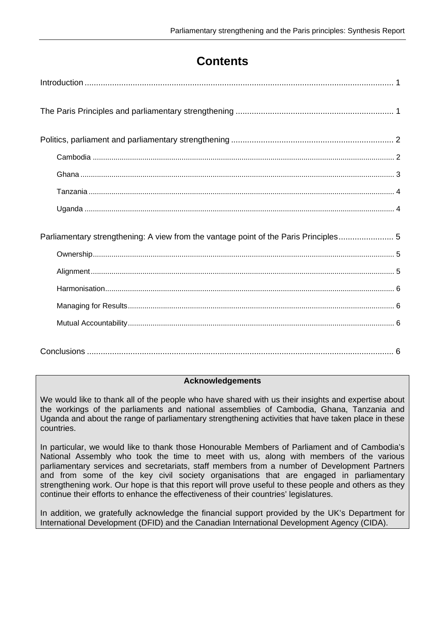## **Contents**

| Parliamentary strengthening: A view from the vantage point of the Paris Principles 5 |  |
|--------------------------------------------------------------------------------------|--|
|                                                                                      |  |
|                                                                                      |  |
|                                                                                      |  |
|                                                                                      |  |
|                                                                                      |  |

#### **Acknowledgements**

We would like to thank all of the people who have shared with us their insights and expertise about the workings of the parliaments and national assemblies of Cambodia, Ghana, Tanzania and Uganda and about the range of parliamentary strengthening activities that have taken place in these countries.

In particular, we would like to thank those Honourable Members of Parliament and of Cambodia's National Assembly who took the time to meet with us, along with members of the various parliamentary services and secretariats, staff members from a number of Development Partners and from some of the key civil society organisations that are engaged in parliamentary strengthening work. Our hope is that this report will prove useful to these people and others as they continue their efforts to enhance the effectiveness of their countries' legislatures.

In addition, we gratefully acknowledge the financial support provided by the UK's Department for International Development (DFID) and the Canadian International Development Agency (CIDA).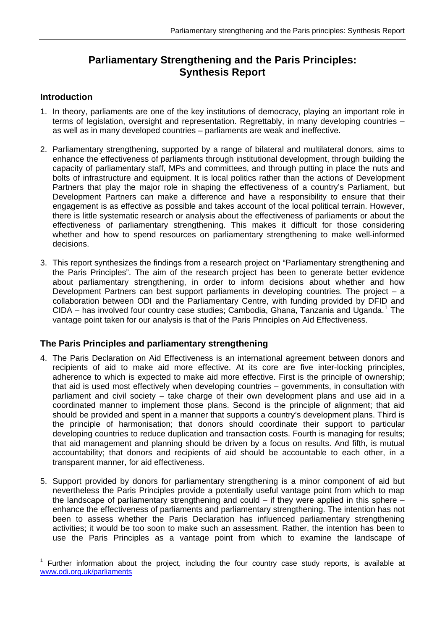## **Parliamentary Strengthening and the Paris Principles: Synthesis Report**

#### <span id="page-2-0"></span>**Introduction**

- 1. In theory, parliaments are one of the key institutions of democracy, playing an important role in terms of legislation, oversight and representation. Regrettably, in many developing countries – as well as in many developed countries – parliaments are weak and ineffective.
- 2. Parliamentary strengthening, supported by a range of bilateral and multilateral donors, aims to enhance the effectiveness of parliaments through institutional development, through building the capacity of parliamentary staff, MPs and committees, and through putting in place the nuts and bolts of infrastructure and equipment. It is local politics rather than the actions of Development Partners that play the major role in shaping the effectiveness of a country's Parliament, but Development Partners can make a difference and have a responsibility to ensure that their engagement is as effective as possible and takes account of the local political terrain. However, there is little systematic research or analysis about the effectiveness of parliaments or about the effectiveness of parliamentary strengthening. This makes it difficult for those considering whether and how to spend resources on parliamentary strengthening to make well-informed decisions.
- 3. This report synthesizes the findings from a research project on "Parliamentary strengthening and the Paris Principles". The aim of the research project has been to generate better evidence about parliamentary strengthening, in order to inform decisions about whether and how Development Partners can best support parliaments in developing countries. The project – a collaboration between ODI and the Parliamentary Centre, with funding provided by DFID and CIDA - has involved four country case studies; Cambodia, Ghana, Tanzania and Uganda.<sup>[1](#page-2-1)</sup> The vantage point taken for our analysis is that of the Paris Principles on Aid Effectiveness.

### **The Paris Principles and parliamentary strengthening**

- 4. The Paris Declaration on Aid Effectiveness is an international agreement between donors and recipients of aid to make aid more effective. At its core are five inter-locking principles, adherence to which is expected to make aid more effective. First is the principle of ownership; that aid is used most effectively when developing countries – governments, in consultation with parliament and civil society – take charge of their own development plans and use aid in a coordinated manner to implement those plans. Second is the principle of alignment; that aid should be provided and spent in a manner that supports a country's development plans. Third is the principle of harmonisation; that donors should coordinate their support to particular developing countries to reduce duplication and transaction costs. Fourth is managing for results; that aid management and planning should be driven by a focus on results. And fifth, is mutual accountability; that donors and recipients of aid should be accountable to each other, in a transparent manner, for aid effectiveness.
- 5. Support provided by donors for parliamentary strengthening is a minor component of aid but nevertheless the Paris Principles provide a potentially useful vantage point from which to map the landscape of parliamentary strengthening and could  $-$  if they were applied in this sphere  $$ enhance the effectiveness of parliaments and parliamentary strengthening. The intention has not been to assess whether the Paris Declaration has influenced parliamentary strengthening activities; it would be too soon to make such an assessment. Rather, the intention has been to use the Paris Principles as a vantage point from which to examine the landscape of

<span id="page-2-1"></span> 1 Further information about the project, including the four country case study reports, is available at [www.odi.org.uk/parliaments](http://www.odi.org.uk/parliaments)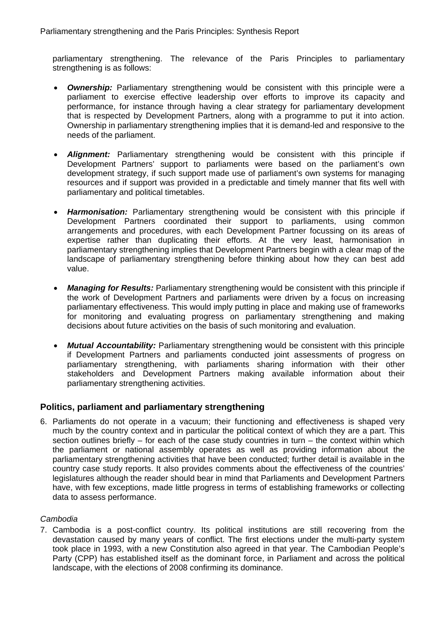<span id="page-3-0"></span>parliamentary strengthening. The relevance of the Paris Principles to parliamentary strengthening is as follows:

- *Ownership:* Parliamentary strengthening would be consistent with this principle were a parliament to exercise effective leadership over efforts to improve its capacity and performance, for instance through having a clear strategy for parliamentary development that is respected by Development Partners, along with a programme to put it into action. Ownership in parliamentary strengthening implies that it is demand-led and responsive to the needs of the parliament.
- *Alignment:* Parliamentary strengthening would be consistent with this principle if Development Partners' support to parliaments were based on the parliament's own development strategy, if such support made use of parliament's own systems for managing resources and if support was provided in a predictable and timely manner that fits well with parliamentary and political timetables.
- *Harmonisation:* Parliamentary strengthening would be consistent with this principle if Development Partners coordinated their support to parliaments, using common arrangements and procedures, with each Development Partner focussing on its areas of expertise rather than duplicating their efforts. At the very least, harmonisation in parliamentary strengthening implies that Development Partners begin with a clear map of the landscape of parliamentary strengthening before thinking about how they can best add value.
- *Managing for Results:* Parliamentary strengthening would be consistent with this principle if the work of Development Partners and parliaments were driven by a focus on increasing parliamentary effectiveness. This would imply putting in place and making use of frameworks for monitoring and evaluating progress on parliamentary strengthening and making decisions about future activities on the basis of such monitoring and evaluation.
- *Mutual Accountability:* Parliamentary strengthening would be consistent with this principle if Development Partners and parliaments conducted joint assessments of progress on parliamentary strengthening, with parliaments sharing information with their other stakeholders and Development Partners making available information about their parliamentary strengthening activities.

#### **Politics, parliament and parliamentary strengthening**

6. Parliaments do not operate in a vacuum; their functioning and effectiveness is shaped very much by the country context and in particular the political context of which they are a part. This section outlines briefly – for each of the case study countries in turn – the context within which the parliament or national assembly operates as well as providing information about the parliamentary strengthening activities that have been conducted; further detail is available in the country case study reports. It also provides comments about the effectiveness of the countries' legislatures although the reader should bear in mind that Parliaments and Development Partners have, with few exceptions, made little progress in terms of establishing frameworks or collecting data to assess performance.

#### *Cambodia*

7. Cambodia is a post-conflict country. Its political institutions are still recovering from the devastation caused by many years of conflict. The first elections under the multi-party system took place in 1993, with a new Constitution also agreed in that year. The Cambodian People's Party (CPP) has established itself as the dominant force, in Parliament and across the political landscape, with the elections of 2008 confirming its dominance.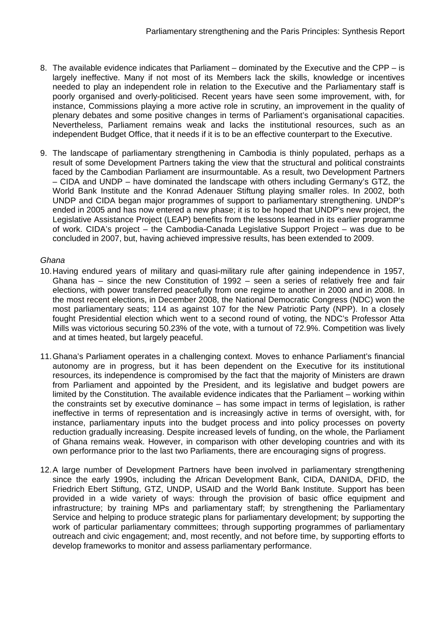- <span id="page-4-0"></span>8. The available evidence indicates that Parliament – dominated by the Executive and the CPP – is largely ineffective. Many if not most of its Members lack the skills, knowledge or incentives needed to play an independent role in relation to the Executive and the Parliamentary staff is poorly organised and overly-politicised. Recent years have seen some improvement, with, for instance, Commissions playing a more active role in scrutiny, an improvement in the quality of plenary debates and some positive changes in terms of Parliament's organisational capacities. Nevertheless, Parliament remains weak and lacks the institutional resources, such as an independent Budget Office, that it needs if it is to be an effective counterpart to the Executive.
- 9. The landscape of parliamentary strengthening in Cambodia is thinly populated, perhaps as a result of some Development Partners taking the view that the structural and political constraints faced by the Cambodian Parliament are insurmountable. As a result, two Development Partners – CIDA and UNDP – have dominated the landscape with others including Germany's GTZ, the World Bank Institute and the Konrad Adenauer Stiftung playing smaller roles. In 2002, both UNDP and CIDA began major programmes of support to parliamentary strengthening. UNDP's ended in 2005 and has now entered a new phase; it is to be hoped that UNDP's new project, the Legislative Assistance Project (LEAP) benefits from the lessons learned in its earlier programme of work. CIDA's project – the Cambodia-Canada Legislative Support Project – was due to be concluded in 2007, but, having achieved impressive results, has been extended to 2009.

#### *Ghana*

- 10. Having endured years of military and quasi-military rule after gaining independence in 1957, Ghana has – since the new Constitution of 1992 – seen a series of relatively free and fair elections, with power transferred peacefully from one regime to another in 2000 and in 2008. In the most recent elections, in December 2008, the National Democratic Congress (NDC) won the most parliamentary seats; 114 as against 107 for the New Patriotic Party (NPP). In a closely fought Presidential election which went to a second round of voting, the NDC's Professor Atta Mills was victorious securing 50.23% of the vote, with a turnout of 72.9%. Competition was lively and at times heated, but largely peaceful.
- 11. Ghana's Parliament operates in a challenging context. Moves to enhance Parliament's financial autonomy are in progress, but it has been dependent on the Executive for its institutional resources, its independence is compromised by the fact that the majority of Ministers are drawn from Parliament and appointed by the President, and its legislative and budget powers are limited by the Constitution. The available evidence indicates that the Parliament – working within the constraints set by executive dominance – has some impact in terms of legislation, is rather ineffective in terms of representation and is increasingly active in terms of oversight, with, for instance, parliamentary inputs into the budget process and into policy processes on poverty reduction gradually increasing. Despite increased levels of funding, on the whole, the Parliament of Ghana remains weak. However, in comparison with other developing countries and with its own performance prior to the last two Parliaments, there are encouraging signs of progress.
- 12. A large number of Development Partners have been involved in parliamentary strengthening since the early 1990s, including the African Development Bank, CIDA, DANIDA, DFID, the Friedrich Ebert Stiftung, GTZ, UNDP, USAID and the World Bank Institute. Support has been provided in a wide variety of ways: through the provision of basic office equipment and infrastructure; by training MPs and parliamentary staff; by strengthening the Parliamentary Service and helping to produce strategic plans for parliamentary development; by supporting the work of particular parliamentary committees; through supporting programmes of parliamentary outreach and civic engagement; and, most recently, and not before time, by supporting efforts to develop frameworks to monitor and assess parliamentary performance.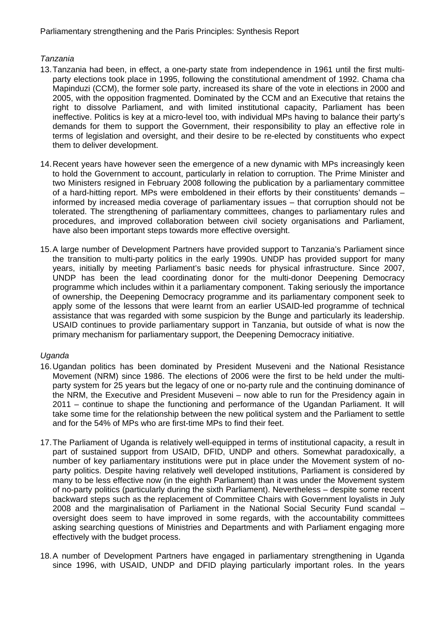#### <span id="page-5-0"></span>*Tanzania*

- 13. Tanzania had been, in effect, a one-party state from independence in 1961 until the first multiparty elections took place in 1995, following the constitutional amendment of 1992. Chama cha Mapinduzi (CCM), the former sole party, increased its share of the vote in elections in 2000 and 2005, with the opposition fragmented. Dominated by the CCM and an Executive that retains the right to dissolve Parliament, and with limited institutional capacity, Parliament has been ineffective. Politics is key at a micro-level too, with individual MPs having to balance their party's demands for them to support the Government, their responsibility to play an effective role in terms of legislation and oversight, and their desire to be re-elected by constituents who expect them to deliver development.
- 14. Recent years have however seen the emergence of a new dynamic with MPs increasingly keen to hold the Government to account, particularly in relation to corruption. The Prime Minister and two Ministers resigned in February 2008 following the publication by a parliamentary committee of a hard-hitting report. MPs were emboldened in their efforts by their constituents' demands – informed by increased media coverage of parliamentary issues – that corruption should not be tolerated. The strengthening of parliamentary committees, changes to parliamentary rules and procedures, and improved collaboration between civil society organisations and Parliament, have also been important steps towards more effective oversight.
- 15. A large number of Development Partners have provided support to Tanzania's Parliament since the transition to multi-party politics in the early 1990s. UNDP has provided support for many years, initially by meeting Parliament's basic needs for physical infrastructure. Since 2007, UNDP has been the lead coordinating donor for the multi-donor Deepening Democracy programme which includes within it a parliamentary component. Taking seriously the importance of ownership, the Deepening Democracy programme and its parliamentary component seek to apply some of the lessons that were learnt from an earlier USAID-led programme of technical assistance that was regarded with some suspicion by the Bunge and particularly its leadership. USAID continues to provide parliamentary support in Tanzania, but outside of what is now the primary mechanism for parliamentary support, the Deepening Democracy initiative.

#### *Uganda*

- 16. Ugandan politics has been dominated by President Museveni and the National Resistance Movement (NRM) since 1986. The elections of 2006 were the first to be held under the multiparty system for 25 years but the legacy of one or no-party rule and the continuing dominance of the NRM, the Executive and President Museveni – now able to run for the Presidency again in 2011 – continue to shape the functioning and performance of the Ugandan Parliament. It will take some time for the relationship between the new political system and the Parliament to settle and for the 54% of MPs who are first-time MPs to find their feet.
- 17. The Parliament of Uganda is relatively well-equipped in terms of institutional capacity, a result in part of sustained support from USAID, DFID, UNDP and others. Somewhat paradoxically, a number of key parliamentary institutions were put in place under the Movement system of noparty politics. Despite having relatively well developed institutions, Parliament is considered by many to be less effective now (in the eighth Parliament) than it was under the Movement system of no-party politics (particularly during the sixth Parliament). Nevertheless – despite some recent backward steps such as the replacement of Committee Chairs with Government loyalists in July 2008 and the marginalisation of Parliament in the National Social Security Fund scandal – oversight does seem to have improved in some regards, with the accountability committees asking searching questions of Ministries and Departments and with Parliament engaging more effectively with the budget process.
- 18. A number of Development Partners have engaged in parliamentary strengthening in Uganda since 1996, with USAID, UNDP and DFID playing particularly important roles. In the years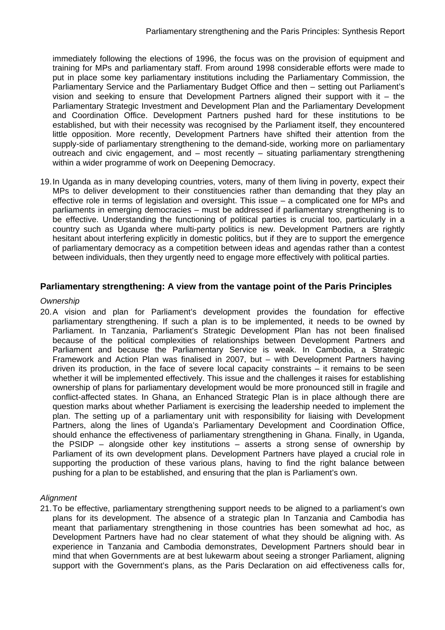<span id="page-6-0"></span>immediately following the elections of 1996, the focus was on the provision of equipment and training for MPs and parliamentary staff. From around 1998 considerable efforts were made to put in place some key parliamentary institutions including the Parliamentary Commission, the Parliamentary Service and the Parliamentary Budget Office and then – setting out Parliament's vision and seeking to ensure that Development Partners aligned their support with it  $-$  the Parliamentary Strategic Investment and Development Plan and the Parliamentary Development and Coordination Office. Development Partners pushed hard for these institutions to be established, but with their necessity was recognised by the Parliament itself, they encountered little opposition. More recently, Development Partners have shifted their attention from the supply-side of parliamentary strengthening to the demand-side, working more on parliamentary outreach and civic engagement, and – most recently – situating parliamentary strengthening within a wider programme of work on Deepening Democracy.

19. In Uganda as in many developing countries, voters, many of them living in poverty, expect their MPs to deliver development to their constituencies rather than demanding that they play an effective role in terms of legislation and oversight. This issue – a complicated one for MPs and parliaments in emerging democracies – must be addressed if parliamentary strengthening is to be effective. Understanding the functioning of political parties is crucial too, particularly in a country such as Uganda where multi-party politics is new. Development Partners are rightly hesitant about interfering explicitly in domestic politics, but if they are to support the emergence of parliamentary democracy as a competition between ideas and agendas rather than a contest between individuals, then they urgently need to engage more effectively with political parties.

#### **Parliamentary strengthening: A view from the vantage point of the Paris Principles**

#### *Ownership*

20. A vision and plan for Parliament's development provides the foundation for effective parliamentary strengthening. If such a plan is to be implemented, it needs to be owned by Parliament. In Tanzania, Parliament's Strategic Development Plan has not been finalised because of the political complexities of relationships between Development Partners and Parliament and because the Parliamentary Service is weak. In Cambodia, a Strategic Framework and Action Plan was finalised in 2007, but – with Development Partners having driven its production, in the face of severe local capacity constraints – it remains to be seen whether it will be implemented effectively. This issue and the challenges it raises for establishing ownership of plans for parliamentary development would be more pronounced still in fragile and conflict-affected states. In Ghana, an Enhanced Strategic Plan is in place although there are question marks about whether Parliament is exercising the leadership needed to implement the plan. The setting up of a parliamentary unit with responsibility for liaising with Development Partners, along the lines of Uganda's Parliamentary Development and Coordination Office, should enhance the effectiveness of parliamentary strengthening in Ghana. Finally, in Uganda, the PSIDP – alongside other key institutions – asserts a strong sense of ownership by Parliament of its own development plans. Development Partners have played a crucial role in supporting the production of these various plans, having to find the right balance between pushing for a plan to be established, and ensuring that the plan is Parliament's own.

#### *Alignment*

21. To be effective, parliamentary strengthening support needs to be aligned to a parliament's own plans for its development. The absence of a strategic plan In Tanzania and Cambodia has meant that parliamentary strengthening in those countries has been somewhat ad hoc, as Development Partners have had no clear statement of what they should be aligning with. As experience in Tanzania and Cambodia demonstrates, Development Partners should bear in mind that when Governments are at best lukewarm about seeing a stronger Parliament, aligning support with the Government's plans, as the Paris Declaration on aid effectiveness calls for,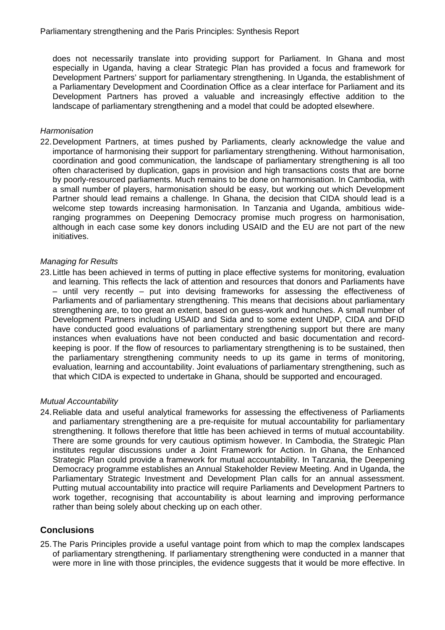<span id="page-7-0"></span>does not necessarily translate into providing support for Parliament. In Ghana and most especially in Uganda, having a clear Strategic Plan has provided a focus and framework for Development Partners' support for parliamentary strengthening. In Uganda, the establishment of a Parliamentary Development and Coordination Office as a clear interface for Parliament and its Development Partners has proved a valuable and increasingly effective addition to the landscape of parliamentary strengthening and a model that could be adopted elsewhere.

#### *Harmonisation*

22. Development Partners, at times pushed by Parliaments, clearly acknowledge the value and importance of harmonising their support for parliamentary strengthening. Without harmonisation, coordination and good communication, the landscape of parliamentary strengthening is all too often characterised by duplication, gaps in provision and high transactions costs that are borne by poorly-resourced parliaments. Much remains to be done on harmonisation. In Cambodia, with a small number of players, harmonisation should be easy, but working out which Development Partner should lead remains a challenge. In Ghana, the decision that CIDA should lead is a welcome step towards increasing harmonisation. In Tanzania and Uganda, ambitious wideranging programmes on Deepening Democracy promise much progress on harmonisation, although in each case some key donors including USAID and the EU are not part of the new initiatives.

#### *Managing for Results*

23. Little has been achieved in terms of putting in place effective systems for monitoring, evaluation and learning. This reflects the lack of attention and resources that donors and Parliaments have – until very recently – put into devising frameworks for assessing the effectiveness of Parliaments and of parliamentary strengthening. This means that decisions about parliamentary strengthening are, to too great an extent, based on guess-work and hunches. A small number of Development Partners including USAID and Sida and to some extent UNDP, CIDA and DFID have conducted good evaluations of parliamentary strengthening support but there are many instances when evaluations have not been conducted and basic documentation and recordkeeping is poor. If the flow of resources to parliamentary strengthening is to be sustained, then the parliamentary strengthening community needs to up its game in terms of monitoring, evaluation, learning and accountability. Joint evaluations of parliamentary strengthening, such as that which CIDA is expected to undertake in Ghana, should be supported and encouraged.

#### *Mutual Accountability*

24. Reliable data and useful analytical frameworks for assessing the effectiveness of Parliaments and parliamentary strengthening are a pre-requisite for mutual accountability for parliamentary strengthening. It follows therefore that little has been achieved in terms of mutual accountability. There are some grounds for very cautious optimism however. In Cambodia, the Strategic Plan institutes regular discussions under a Joint Framework for Action. In Ghana, the Enhanced Strategic Plan could provide a framework for mutual accountability. In Tanzania, the Deepening Democracy programme establishes an Annual Stakeholder Review Meeting. And in Uganda, the Parliamentary Strategic Investment and Development Plan calls for an annual assessment. Putting mutual accountability into practice will require Parliaments and Development Partners to work together, recognising that accountability is about learning and improving performance rather than being solely about checking up on each other.

#### **Conclusions**

25. The Paris Principles provide a useful vantage point from which to map the complex landscapes of parliamentary strengthening. If parliamentary strengthening were conducted in a manner that were more in line with those principles, the evidence suggests that it would be more effective. In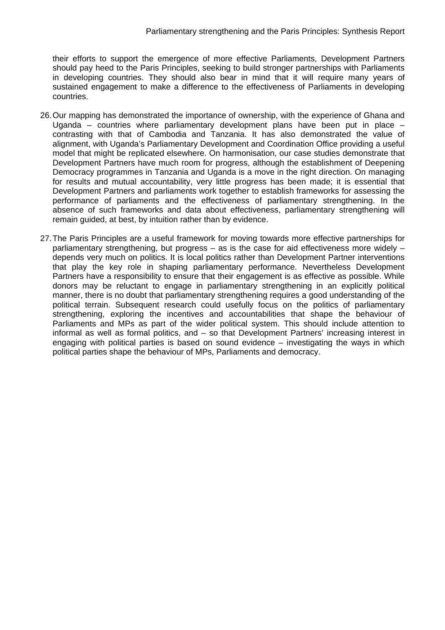their efforts to support the emergence of more effective Parliaments, Development Partners should pay heed to the Paris Principles, seeking to build stronger partnerships with Parliaments in developing countries. They should also bear in mind that it will require many years of sustained engagement to make a difference to the effectiveness of Parliaments in developing countries.

- 26. Our mapping has demonstrated the importance of ownership, with the experience of Ghana and Uganda – countries where parliamentary development plans have been put in place – contrasting with that of Cambodia and Tanzania. It has also demonstrated the value of alignment, with Uganda's Parliamentary Development and Coordination Office providing a useful model that might be replicated elsewhere. On harmonisation, our case studies demonstrate that Development Partners have much room for progress, although the establishment of Deepening Democracy programmes in Tanzania and Uganda is a move in the right direction. On managing for results and mutual accountability, very little progress has been made; it is essential that Development Partners and parliaments work together to establish frameworks for assessing the performance of parliaments and the effectiveness of parliamentary strengthening. In the absence of such frameworks and data about effectiveness, parliamentary strengthening will remain guided, at best, by intuition rather than by evidence.
- 27. The Paris Principles are a useful framework for moving towards more effective partnerships for parliamentary strengthening, but progress – as is the case for aid effectiveness more widely – depends very much on politics. It is local politics rather than Development Partner interventions that play the key role in shaping parliamentary performance. Nevertheless Development Partners have a responsibility to ensure that their engagement is as effective as possible. While donors may be reluctant to engage in parliamentary strengthening in an explicitly political manner, there is no doubt that parliamentary strengthening requires a good understanding of the political terrain. Subsequent research could usefully focus on the politics of parliamentary strengthening, exploring the incentives and accountabilities that shape the behaviour of Parliaments and MPs as part of the wider political system. This should include attention to informal as well as formal politics, and – so that Development Partners' increasing interest in engaging with political parties is based on sound evidence – investigating the ways in which political parties shape the behaviour of MPs, Parliaments and democracy.